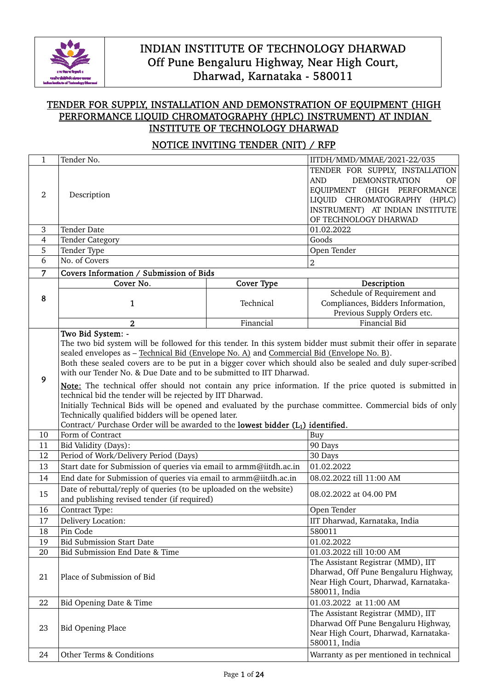

### TENDER FOR SUPPLY, INSTALLATION AND DEMONSTRATION OF EQUIPMENT (HIGH PERFORMANCE LIQUID CHROMATOGRAPHY (HPLC) INSTRUMENT) AT INDIAN INSTITUTE OF TECHNOLOGY DHARWAD

### NOTICE INVITING TENDER (NIT) / RFP

| $\mathbf{1}$   | Tender No.                                                                                                                                                                                                                                                                                                                                                                                                                                                                                                                                                                                                                                                                                                                                                       |            | IITDH/MMD/MMAE/2021-22/035                                                                                                                                                                             |  |
|----------------|------------------------------------------------------------------------------------------------------------------------------------------------------------------------------------------------------------------------------------------------------------------------------------------------------------------------------------------------------------------------------------------------------------------------------------------------------------------------------------------------------------------------------------------------------------------------------------------------------------------------------------------------------------------------------------------------------------------------------------------------------------------|------------|--------------------------------------------------------------------------------------------------------------------------------------------------------------------------------------------------------|--|
| 2              | Description                                                                                                                                                                                                                                                                                                                                                                                                                                                                                                                                                                                                                                                                                                                                                      |            | TENDER FOR SUPPLY, INSTALLATION<br><b>AND</b><br><b>DEMONSTRATION</b><br>OF<br>EQUIPMENT (HIGH PERFORMANCE<br>LIQUID CHROMATOGRAPHY (HPLC)<br>INSTRUMENT) AT INDIAN INSTITUTE<br>OF TECHNOLOGY DHARWAD |  |
| $\mathbf{3}$   | <b>Tender Date</b>                                                                                                                                                                                                                                                                                                                                                                                                                                                                                                                                                                                                                                                                                                                                               |            | 01.02.2022                                                                                                                                                                                             |  |
| 4              | <b>Tender Category</b>                                                                                                                                                                                                                                                                                                                                                                                                                                                                                                                                                                                                                                                                                                                                           |            | Goods                                                                                                                                                                                                  |  |
| 5              | Tender Type                                                                                                                                                                                                                                                                                                                                                                                                                                                                                                                                                                                                                                                                                                                                                      |            | Open Tender                                                                                                                                                                                            |  |
| 6              | No. of Covers                                                                                                                                                                                                                                                                                                                                                                                                                                                                                                                                                                                                                                                                                                                                                    |            | $\boldsymbol{2}$                                                                                                                                                                                       |  |
| $\overline{7}$ | Covers Information / Submission of Bids                                                                                                                                                                                                                                                                                                                                                                                                                                                                                                                                                                                                                                                                                                                          |            |                                                                                                                                                                                                        |  |
|                | Cover No.                                                                                                                                                                                                                                                                                                                                                                                                                                                                                                                                                                                                                                                                                                                                                        | Cover Type | Description                                                                                                                                                                                            |  |
| 8              | 1                                                                                                                                                                                                                                                                                                                                                                                                                                                                                                                                                                                                                                                                                                                                                                | Technical  | Schedule of Requirement and<br>Compliances, Bidders Information,<br>Previous Supply Orders etc.                                                                                                        |  |
|                | $\overline{2}$                                                                                                                                                                                                                                                                                                                                                                                                                                                                                                                                                                                                                                                                                                                                                   | Financial  | <b>Financial Bid</b>                                                                                                                                                                                   |  |
| 9              | Two Bid System: -<br>The two bid system will be followed for this tender. In this system bidder must submit their offer in separate<br>sealed envelopes as - Technical Bid (Envelope No. A) and Commercial Bid (Envelope No. B).<br>Both these sealed covers are to be put in a bigger cover which should also be sealed and duly super-scribed<br>with our Tender No. & Due Date and to be submitted to IIT Dharwad.<br>Note: The technical offer should not contain any price information. If the price quoted is submitted in<br>technical bid the tender will be rejected by IIT Dharwad.<br>Initially Technical Bids will be opened and evaluated by the purchase committee. Commercial bids of only<br>Technically qualified bidders will be opened later. |            |                                                                                                                                                                                                        |  |
| 10             | Contract/ Purchase Order will be awarded to the lowest bidder (L1) identified.<br>Form of Contract                                                                                                                                                                                                                                                                                                                                                                                                                                                                                                                                                                                                                                                               |            | Buy                                                                                                                                                                                                    |  |
| 11             | Bid Validity (Days):                                                                                                                                                                                                                                                                                                                                                                                                                                                                                                                                                                                                                                                                                                                                             |            | 90 Days                                                                                                                                                                                                |  |
| 12             | Period of Work/Delivery Period (Days)                                                                                                                                                                                                                                                                                                                                                                                                                                                                                                                                                                                                                                                                                                                            |            | 30 Days                                                                                                                                                                                                |  |
| 13             | Start date for Submission of queries via email to armm@iitdh.ac.in                                                                                                                                                                                                                                                                                                                                                                                                                                                                                                                                                                                                                                                                                               |            | 01.02.2022                                                                                                                                                                                             |  |
| 14             | End date for Submission of queries via email to armm@iitdh.ac.in                                                                                                                                                                                                                                                                                                                                                                                                                                                                                                                                                                                                                                                                                                 |            | 08.02.2022 till 11:00 AM                                                                                                                                                                               |  |
| 15             | Date of rebuttal/reply of queries (to be uploaded on the website)<br>and publishing revised tender (if required)                                                                                                                                                                                                                                                                                                                                                                                                                                                                                                                                                                                                                                                 |            | 08.02.2022 at 04.00 PM                                                                                                                                                                                 |  |
| 16             | Contract Type:                                                                                                                                                                                                                                                                                                                                                                                                                                                                                                                                                                                                                                                                                                                                                   |            | Open Tender                                                                                                                                                                                            |  |
| 17             | Delivery Location:                                                                                                                                                                                                                                                                                                                                                                                                                                                                                                                                                                                                                                                                                                                                               |            | IIT Dharwad, Karnataka, India                                                                                                                                                                          |  |
| 18             | Pin Code                                                                                                                                                                                                                                                                                                                                                                                                                                                                                                                                                                                                                                                                                                                                                         |            | 580011                                                                                                                                                                                                 |  |
| 19             | <b>Bid Submission Start Date</b>                                                                                                                                                                                                                                                                                                                                                                                                                                                                                                                                                                                                                                                                                                                                 |            | 01.02.2022                                                                                                                                                                                             |  |
| 20             | Bid Submission End Date & Time                                                                                                                                                                                                                                                                                                                                                                                                                                                                                                                                                                                                                                                                                                                                   |            | 01.03.2022 till 10:00 AM                                                                                                                                                                               |  |
| 21             | Place of Submission of Bid                                                                                                                                                                                                                                                                                                                                                                                                                                                                                                                                                                                                                                                                                                                                       |            | The Assistant Registrar (MMD), IIT<br>Dharwad, Off Pune Bengaluru Highway,<br>Near High Court, Dharwad, Karnataka-<br>580011, India                                                                    |  |
| 22             | Bid Opening Date & Time                                                                                                                                                                                                                                                                                                                                                                                                                                                                                                                                                                                                                                                                                                                                          |            | 01.03.2022 at 11:00 AM                                                                                                                                                                                 |  |
| 23             | <b>Bid Opening Place</b>                                                                                                                                                                                                                                                                                                                                                                                                                                                                                                                                                                                                                                                                                                                                         |            | The Assistant Registrar (MMD), IIT<br>Dharwad Off Pune Bengaluru Highway,<br>Near High Court, Dharwad, Karnataka-<br>580011, India                                                                     |  |
| 24             | Other Terms & Conditions                                                                                                                                                                                                                                                                                                                                                                                                                                                                                                                                                                                                                                                                                                                                         |            | Warranty as per mentioned in technical                                                                                                                                                                 |  |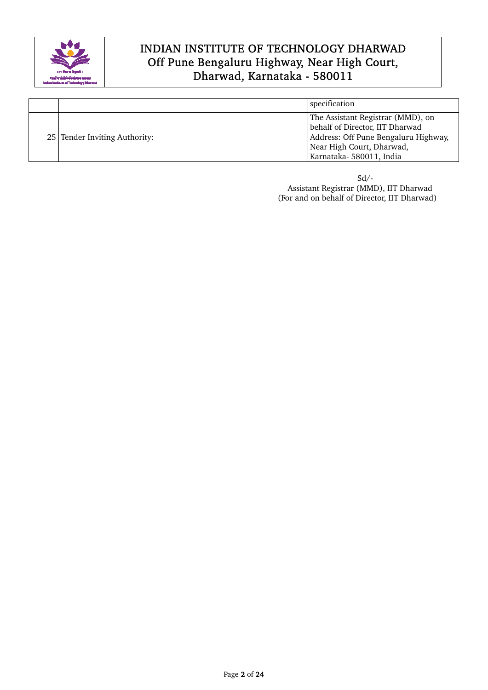

|                               | specification                                                                                                                                                        |
|-------------------------------|----------------------------------------------------------------------------------------------------------------------------------------------------------------------|
| 25 Tender Inviting Authority: | The Assistant Registrar (MMD), on<br>behalf of Director, IIT Dharwad<br>Address: Off Pune Bengaluru Highway,<br>Near High Court, Dharwad,<br>Karnataka-580011, India |

 Sd/- Assistant Registrar (MMD), IIT Dharwad (For and on behalf of Director, IIT Dharwad)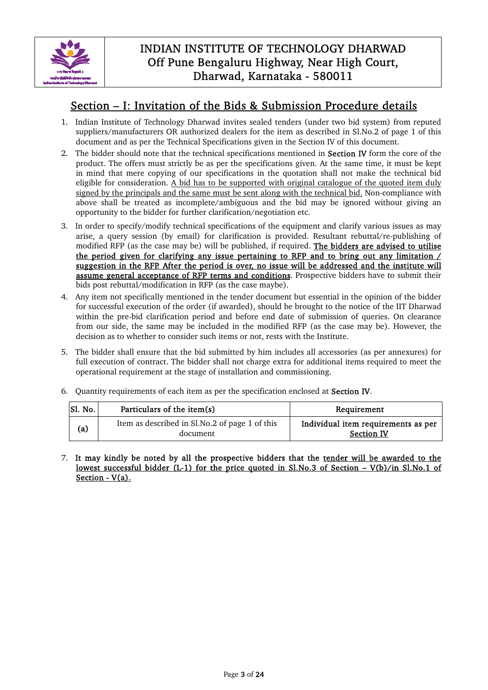

### Section – I: Invitation of the Bids & Submission Procedure details

- 1. Indian Institute of Technology Dharwad invites sealed tenders (under two bid system) from reputed suppliers/manufacturers OR authorized dealers for the item as described in Sl.No.2 of page 1 of this document and as per the Technical Specifications given in the Section IV of this document.
- 2. The bidder should note that the technical specifications mentioned in **Section IV** form the core of the product. The offers must strictly be as per the specifications given. At the same time, it must be kept in mind that mere copying of our specifications in the quotation shall not make the technical bid eligible for consideration. A bid has to be supported with original catalogue of the quoted item duly signed by the principals and the same must be sent along with the technical bid. Non-compliance with above shall be treated as incomplete/ambiguous and the bid may be ignored without giving an opportunity to the bidder for further clarification/negotiation etc.
- 3. In order to specify/modify technical specifications of the equipment and clarify various issues as may arise, a query session (by email) for clarification is provided. Resultant rebuttal/re-publishing of modified RFP (as the case may be) will be published, if required. The bidders are advised to utilise the period given for clarifying any issue pertaining to RFP and to bring out any limitation / suggestion in the RFP. After the period is over, no issue will be addressed and the institute will assume general acceptance of RFP terms and conditions. Prospective bidders have to submit their bids post rebuttal/modification in RFP (as the case maybe).
- 4. Any item not specifically mentioned in the tender document but essential in the opinion of the bidder for successful execution of the order (if awarded), should be brought to the notice of the IIT Dharwad within the pre-bid clarification period and before end date of submission of queries. On clearance from our side, the same may be included in the modified RFP (as the case may be). However, the decision as to whether to consider such items or not, rests with the Institute.
- 5. The bidder shall ensure that the bid submitted by him includes all accessories (as per annexures) for full execution of contract. The bidder shall not charge extra for additional items required to meet the operational requirement at the stage of installation and commissioning.
- 6. Quantity requirements of each item as per the specification enclosed at Section IV.

| Sl. No. | Particulars of the item(s)                                 | Requirement                                              |
|---------|------------------------------------------------------------|----------------------------------------------------------|
| (a)     | Item as described in Sl.No.2 of page 1 of this<br>document | Individual item requirements as per<br><b>Section IV</b> |

7. It may kindly be noted by all the prospective bidders that the tender will be awarded to the lowest successful bidder (L-1) for the price quoted in Sl.No.3 of Section – V(b)/in Sl.No.1 of Section - V(a).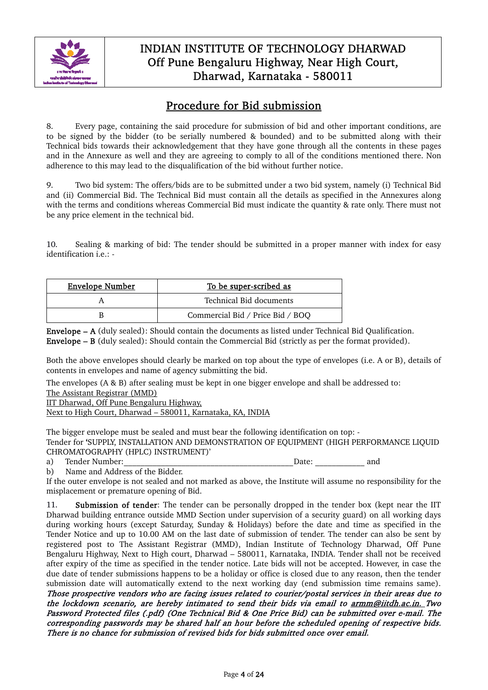

# Procedure for Bid submission

8. Every page, containing the said procedure for submission of bid and other important conditions, are to be signed by the bidder (to be serially numbered & bounded) and to be submitted along with their Technical bids towards their acknowledgement that they have gone through all the contents in these pages and in the Annexure as well and they are agreeing to comply to all of the conditions mentioned there. Non adherence to this may lead to the disqualification of the bid without further notice.

9. Two bid system: The offers/bids are to be submitted under a two bid system, namely (i) Technical Bid and (ii) Commercial Bid. The Technical Bid must contain all the details as specified in the Annexures along with the terms and conditions whereas Commercial Bid must indicate the quantity & rate only. There must not be any price element in the technical bid.

10. Sealing & marking of bid: The tender should be submitted in a proper manner with index for easy identification i.e.: -

| <b>Envelope Number</b> | To be super-scribed as           |
|------------------------|----------------------------------|
|                        | Technical Bid documents          |
|                        | Commercial Bid / Price Bid / BOQ |

Envelope – A (duly sealed): Should contain the documents as listed under Technical Bid Qualification. Envelope – B (duly sealed): Should contain the Commercial Bid (strictly as per the format provided).

Both the above envelopes should clearly be marked on top about the type of envelopes (i.e. A or B), details of contents in envelopes and name of agency submitting the bid.

The envelopes (A & B) after sealing must be kept in one bigger envelope and shall be addressed to: The Assistant Registrar (MMD)

IIT Dharwad, Off Pune Bengaluru Highway,

Next to High Court, Dharwad – 580011, Karnataka, KA, INDIA

The bigger envelope must be sealed and must bear the following identification on top: - Tender for 'SUPPLY, INSTALLATION AND DEMONSTRATION OF EQUIPMENT (HIGH PERFORMANCE LIQUID CHROMATOGRAPHY (HPLC) INSTRUMENT)'<br>a) Tender Number:

a) Tender Number:  $\Box$  and  $\Box$  and  $\Box$  and  $\Box$  and  $\Box$  and  $\Box$  and  $\Box$  and  $\Box$  and  $\Box$  and  $\Box$  and  $\Box$  and  $\Box$  and  $\Box$  and  $\Box$  and  $\Box$  and  $\Box$  and  $\Box$  and  $\Box$  and  $\Box$  and  $\Box$  and  $\Box$  and  $\Box$  and  $\Box$  a

b) Name and Address of the Bidder.

If the outer envelope is not sealed and not marked as above, the Institute will assume no responsibility for the misplacement or premature opening of Bid.

11. Submission of tender: The tender can be personally dropped in the tender box (kept near the IIT Dharwad building entrance outside MMD Section under supervision of a security guard) on all working days during working hours (except Saturday, Sunday & Holidays) before the date and time as specified in the Tender Notice and up to 10.00 AM on the last date of submission of tender. The tender can also be sent by registered post to The Assistant Registrar (MMD), Indian Institute of Technology Dharwad, Off Pune Bengaluru Highway, Next to High court, Dharwad – 580011, Karnataka, INDIA. Tender shall not be received after expiry of the time as specified in the tender notice. Late bids will not be accepted. However, in case the due date of tender submissions happens to be a holiday or office is closed due to any reason, then the tender submission date will automatically extend to the next working day (end submission time remains same). Those prospective vendors who are facing issues related to courier/postal services in their areas due to the lockdown scenario, are hereby intimated to send their bids via email to armm@iitdh.ac.in. Two Password Protected files (.pdf) (One Technical Bid & One Price Bid) can be submitted over e-mail. The corresponding passwords may be shared half an hour before the scheduled opening of respective bids. There is no chance for submission of revised bids for bids submitted once over email.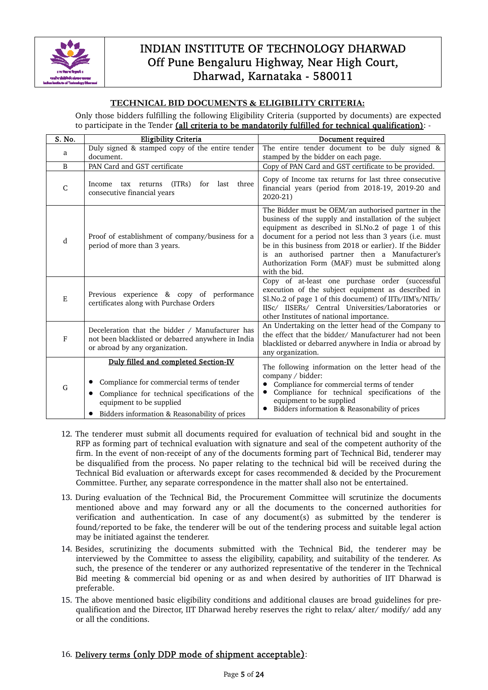

#### **TECHNICAL BID DOCUMENTS & ELIGIBILITY CRITERIA:**

Only those bidders fulfilling the following Eligibility Criteria (supported by documents) are expected to participate in the Tender (all criteria to be mandatorily fulfilled for technical qualification): -

| S. No. | <b>Eligibility Criteria</b>                                                                                                                                                                                                   | Document required                                                                                                                                                                                                                                                                                                                                                                                                 |
|--------|-------------------------------------------------------------------------------------------------------------------------------------------------------------------------------------------------------------------------------|-------------------------------------------------------------------------------------------------------------------------------------------------------------------------------------------------------------------------------------------------------------------------------------------------------------------------------------------------------------------------------------------------------------------|
| a      | Duly signed & stamped copy of the entire tender<br>document.                                                                                                                                                                  | The entire tender document to be duly signed &<br>stamped by the bidder on each page.                                                                                                                                                                                                                                                                                                                             |
| B      | PAN Card and GST certificate                                                                                                                                                                                                  | Copy of PAN Card and GST certificate to be provided.                                                                                                                                                                                                                                                                                                                                                              |
| C      | (ITRs)<br>for last three<br>Income tax returns<br>consecutive financial years                                                                                                                                                 | Copy of Income tax returns for last three consecutive<br>financial years (period from 2018-19, 2019-20 and<br>2020-21)                                                                                                                                                                                                                                                                                            |
| d      | Proof of establishment of company/business for a<br>period of more than 3 years.                                                                                                                                              | The Bidder must be OEM/an authorised partner in the<br>business of the supply and installation of the subject<br>equipment as described in Sl.No.2 of page 1 of this<br>document for a period not less than 3 years (i.e. must<br>be in this business from 2018 or earlier). If the Bidder<br>is an authorised partner then a Manufacturer's<br>Authorization Form (MAF) must be submitted along<br>with the bid. |
| E      | Previous experience & copy of performance<br>certificates along with Purchase Orders                                                                                                                                          | Copy of at-least one purchase order (successful<br>execution of the subject equipment as described in<br>Sl.No.2 of page 1 of this document) of IITs/IIM's/NITs/<br>IISc/ IISERs/ Central Universities/Laboratories or<br>other Institutes of national importance.                                                                                                                                                |
| F      | Deceleration that the bidder / Manufacturer has<br>not been blacklisted or debarred anywhere in India<br>or abroad by any organization.                                                                                       | An Undertaking on the letter head of the Company to<br>the effect that the bidder/ Manufacturer had not been<br>blacklisted or debarred anywhere in India or abroad by<br>any organization.                                                                                                                                                                                                                       |
| G      | Duly filled and completed Section-IV<br>Compliance for commercial terms of tender<br>Compliance for technical specifications of the<br>$\bullet$<br>equipment to be supplied<br>Bidders information & Reasonability of prices | The following information on the letter head of the<br>company / bidder:<br>Compliance for commercial terms of tender<br>Compliance for technical specifications of the<br>equipment to be supplied<br>Bidders information & Reasonability of prices                                                                                                                                                              |

- 12. The tenderer must submit all documents required for evaluation of technical bid and sought in the RFP as forming part of technical evaluation with signature and seal of the competent authority of the firm. In the event of non-receipt of any of the documents forming part of Technical Bid, tenderer may be disqualified from the process. No paper relating to the technical bid will be received during the Technical Bid evaluation or afterwards except for cases recommended & decided by the Procurement Committee. Further, any separate correspondence in the matter shall also not be entertained.
- 13. During evaluation of the Technical Bid, the Procurement Committee will scrutinize the documents mentioned above and may forward any or all the documents to the concerned authorities for verification and authentication. In case of any document(s) as submitted by the tenderer is found/reported to be fake, the tenderer will be out of the tendering process and suitable legal action may be initiated against the tenderer.
- 14. Besides, scrutinizing the documents submitted with the Technical Bid, the tenderer may be interviewed by the Committee to assess the eligibility, capability, and suitability of the tenderer. As such, the presence of the tenderer or any authorized representative of the tenderer in the Technical Bid meeting & commercial bid opening or as and when desired by authorities of IIT Dharwad is preferable.
- 15. The above mentioned basic eligibility conditions and additional clauses are broad guidelines for prequalification and the Director, IIT Dharwad hereby reserves the right to relax/ alter/ modify/ add any or all the conditions.

#### 16. Delivery terms (only DDP mode of shipment acceptable):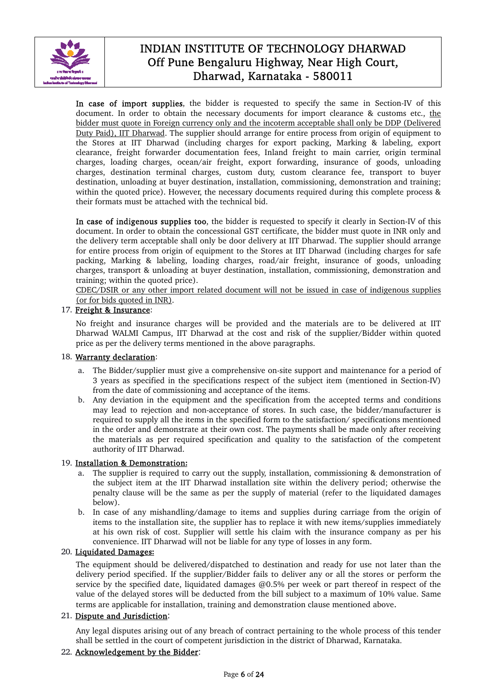

In case of import supplies, the bidder is requested to specify the same in Section-IV of this document. In order to obtain the necessary documents for import clearance & customs etc., the bidder must quote in Foreign currency only and the incoterm acceptable shall only be DDP (Delivered Duty Paid), IIT Dharwad. The supplier should arrange for entire process from origin of equipment to the Stores at IIT Dharwad (including charges for export packing, Marking & labeling, export clearance, freight forwarder documentation fees, Inland freight to main carrier, origin terminal charges, loading charges, ocean/air freight, export forwarding, insurance of goods, unloading charges, destination terminal charges, custom duty, custom clearance fee, transport to buyer destination, unloading at buyer destination, installation, commissioning, demonstration and training; within the quoted price). However, the necessary documents required during this complete process & their formats must be attached with the technical bid.

In case of indigenous supplies too, the bidder is requested to specify it clearly in Section-IV of this document. In order to obtain the concessional GST certificate, the bidder must quote in INR only and the delivery term acceptable shall only be door delivery at IIT Dharwad. The supplier should arrange for entire process from origin of equipment to the Stores at IIT Dharwad (including charges for safe packing, Marking & labeling, loading charges, road/air freight, insurance of goods, unloading charges, transport & unloading at buyer destination, installation, commissioning, demonstration and training; within the quoted price).

CDEC/DSIR or any other import related document will not be issued in case of indigenous supplies (or for bids quoted in INR).

#### 17. Freight & Insurance:

No freight and insurance charges will be provided and the materials are to be delivered at IIT Dharwad WALMI Campus, IIT Dharwad at the cost and risk of the supplier/Bidder within quoted price as per the delivery terms mentioned in the above paragraphs.

#### 18. Warranty declaration:

- a. The Bidder/supplier must give a comprehensive on-site support and maintenance for a period of 3 years as specified in the specifications respect of the subject item (mentioned in Section-IV) from the date of commissioning and acceptance of the items.
- b. Any deviation in the equipment and the specification from the accepted terms and conditions may lead to rejection and non-acceptance of stores. In such case, the bidder/manufacturer is required to supply all the items in the specified form to the satisfaction/ specifications mentioned in the order and demonstrate at their own cost. The payments shall be made only after receiving the materials as per required specification and quality to the satisfaction of the competent authority of IIT Dharwad.

#### 19. Installation & Demonstration**:**

- a. The supplier is required to carry out the supply, installation, commissioning & demonstration of the subject item at the IIT Dharwad installation site within the delivery period; otherwise the penalty clause will be the same as per the supply of material (refer to the liquidated damages below).
- b. In case of any mishandling/damage to items and supplies during carriage from the origin of items to the installation site, the supplier has to replace it with new items/supplies immediately at his own risk of cost. Supplier will settle his claim with the insurance company as per his convenience. IIT Dharwad will not be liable for any type of losses in any form.

#### 20. Liquidated Damages**:**

The equipment should be delivered/dispatched to destination and ready for use not later than the delivery period specified. If the supplier/Bidder fails to deliver any or all the stores or perform the service by the specified date, liquidated damages  $\omega$ 0.5% per week or part thereof in respect of the value of the delayed stores will be deducted from the bill subject to a maximum of 10% value. Same terms are applicable for installation, training and demonstration clause mentioned above.

#### 21. Dispute and Jurisdiction:

Any legal disputes arising out of any breach of contract pertaining to the whole process of this tender shall be settled in the court of competent jurisdiction in the district of Dharwad, Karnataka.

#### 22. Acknowledgement by the Bidder: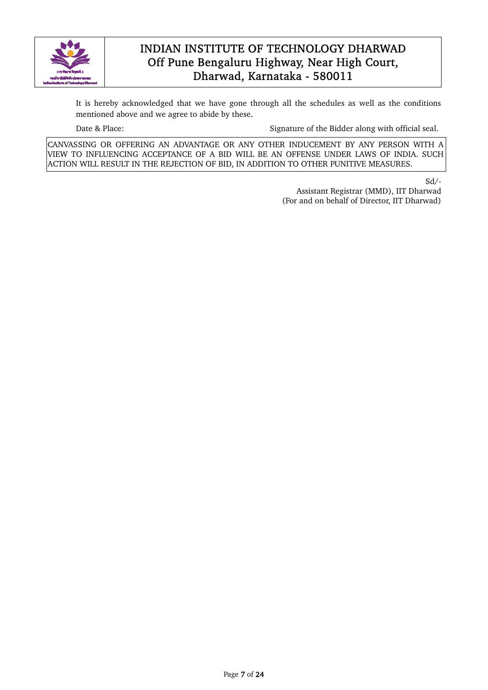

It is hereby acknowledged that we have gone through all the schedules as well as the conditions mentioned above and we agree to abide by these.

Date & Place: Signature of the Bidder along with official seal.

CANVASSING OR OFFERING AN ADVANTAGE OR ANY OTHER INDUCEMENT BY ANY PERSON WITH A VIEW TO INFLUENCING ACCEPTANCE OF A BID WILL BE AN OFFENSE UNDER LAWS OF INDIA. SUCH ACTION WILL RESULT IN THE REJECTION OF BID, IN ADDITION TO OTHER PUNITIVE MEASURES.

Sd/-

Assistant Registrar (MMD), IIT Dharwad (For and on behalf of Director, IIT Dharwad)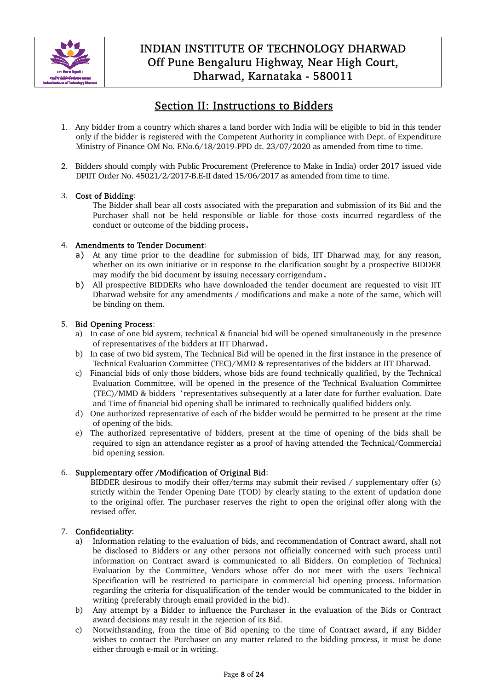

# Section II: Instructions to Bidders

- 1. Any bidder from a country which shares a land border with India will be eligible to bid in this tender only if the bidder is registered with the Competent Authority in compliance with Dept. of Expenditure Ministry of Finance OM No. F.No.6/18/2019-PPD dt. 23/07/2020 as amended from time to time.
- 2. Bidders should comply with Public Procurement (Preference to Make in India) order 2017 issued vide DPIIT Order No. 45021/2/2017-B.E-II dated 15/06/2017 as amended from time to time.

#### 3. Cost of Bidding:

The Bidder shall bear all costs associated with the preparation and submission of its Bid and the Purchaser shall not be held responsible or liable for those costs incurred regardless of the conduct or outcome of the bidding process.

#### 4. Amendments to Tender Document:

- a) At any time prior to the deadline for submission of bids, IIT Dharwad may, for any reason, whether on its own initiative or in response to the clarification sought by a prospective BIDDER may modify the bid document by issuing necessary corrigendum.
- b) All prospective BIDDERs who have downloaded the tender document are requested to visit IIT Dharwad website for any amendments / modifications and make a note of the same, which will be binding on them.

#### 5. Bid Opening Process:

- a) In case of one bid system, technical & financial bid will be opened simultaneously in the presence of representatives of the bidders at IIT Dharwad.
- b) In case of two bid system, The Technical Bid will be opened in the first instance in the presence of Technical Evaluation Committee (TEC)/MMD & representatives of the bidders at IIT Dharwad.
- c) Financial bids of only those bidders, whose bids are found technically qualified, by the Technical Evaluation Committee, will be opened in the presence of the Technical Evaluation Committee (TEC)/MMD & bidders 'representatives subsequently at a later date for further evaluation. Date and Time of financial bid opening shall be intimated to technically qualified bidders only.
- d) One authorized representative of each of the bidder would be permitted to be present at the time of opening of the bids.
- e) The authorized representative of bidders, present at the time of opening of the bids shall be required to sign an attendance register as a proof of having attended the Technical/Commercial bid opening session.

#### 6. Supplementary offer /Modification of Original Bid:

BIDDER desirous to modify their offer/terms may submit their revised / supplementary offer (s) strictly within the Tender Opening Date (TOD) by clearly stating to the extent of updation done to the original offer. The purchaser reserves the right to open the original offer along with the revised offer.

#### 7. Confidentiality:

- a) Information relating to the evaluation of bids, and recommendation of Contract award, shall not be disclosed to Bidders or any other persons not officially concerned with such process until information on Contract award is communicated to all Bidders. On completion of Technical Evaluation by the Committee, Vendors whose offer do not meet with the users Technical Specification will be restricted to participate in commercial bid opening process. Information regarding the criteria for disqualification of the tender would be communicated to the bidder in writing (preferably through email provided in the bid).
- b) Any attempt by a Bidder to influence the Purchaser in the evaluation of the Bids or Contract award decisions may result in the rejection of its Bid.
- c) Notwithstanding, from the time of Bid opening to the time of Contract award, if any Bidder wishes to contact the Purchaser on any matter related to the bidding process, it must be done either through e-mail or in writing.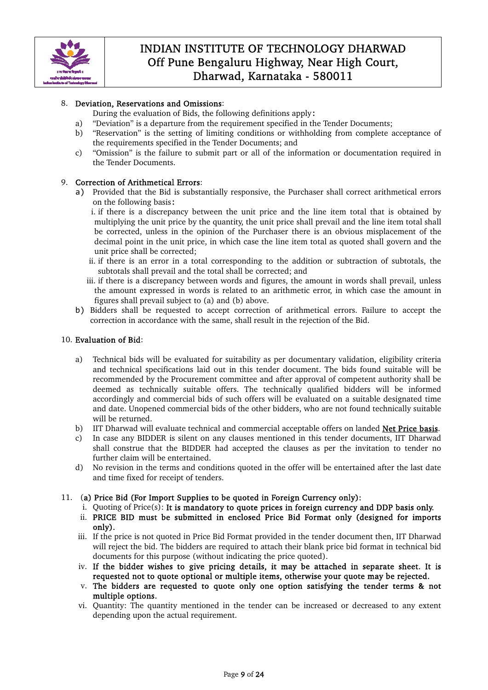

#### 8. Deviation, Reservations and Omissions:

During the evaluation of Bids, the following definitions apply:

- a) "Deviation" is a departure from the requirement specified in the Tender Documents;
- b) "Reservation" is the setting of limiting conditions or withholding from complete acceptance of the requirements specified in the Tender Documents; and
- c) "Omission" is the failure to submit part or all of the information or documentation required in the Tender Documents.

#### 9. Correction of Arithmetical Errors:

a) Provided that the Bid is substantially responsive, the Purchaser shall correct arithmetical errors on the following basis:

i. if there is a discrepancy between the unit price and the line item total that is obtained by multiplying the unit price by the quantity, the unit price shall prevail and the line item total shall be corrected, unless in the opinion of the Purchaser there is an obvious misplacement of the decimal point in the unit price, in which case the line item total as quoted shall govern and the unit price shall be corrected;

- ii. if there is an error in a total corresponding to the addition or subtraction of subtotals, the subtotals shall prevail and the total shall be corrected; and
- iii. if there is a discrepancy between words and figures, the amount in words shall prevail, unless the amount expressed in words is related to an arithmetic error, in which case the amount in figures shall prevail subject to (a) and (b) above.
- b) Bidders shall be requested to accept correction of arithmetical errors. Failure to accept the correction in accordance with the same, shall result in the rejection of the Bid.

#### 10. Evaluation of Bid:

- a) Technical bids will be evaluated for suitability as per documentary validation, eligibility criteria and technical specifications laid out in this tender document. The bids found suitable will be recommended by the Procurement committee and after approval of competent authority shall be deemed as technically suitable offers. The technically qualified bidders will be informed accordingly and commercial bids of such offers will be evaluated on a suitable designated time and date. Unopened commercial bids of the other bidders, who are not found technically suitable will be returned.
- b) IIT Dharwad will evaluate technical and commercial acceptable offers on landed Net Price basis.
- c) In case any BIDDER is silent on any clauses mentioned in this tender documents, IIT Dharwad shall construe that the BIDDER had accepted the clauses as per the invitation to tender no further claim will be entertained.
- d) No revision in the terms and conditions quoted in the offer will be entertained after the last date and time fixed for receipt of tenders.
- 11. (a) Price Bid (For Import Supplies to be quoted in Foreign Currency only):
	- i. Quoting of Price $(s)$ : It is mandatory to quote prices in foreign currency and DDP basis only.
	- ii. PRICE BID must be submitted in enclosed Price Bid Format only (designed for imports only).
	- iii. If the price is not quoted in Price Bid Format provided in the tender document then, IIT Dharwad will reject the bid. The bidders are required to attach their blank price bid format in technical bid documents for this purpose (without indicating the price quoted).
	- iv. If the bidder wishes to give pricing details, it may be attached in separate sheet. It is requested not to quote optional or multiple items, otherwise your quote may be rejected.
	- v. The bidders are requested to quote only one option satisfying the tender terms & not multiple options.
	- vi. Quantity: The quantity mentioned in the tender can be increased or decreased to any extent depending upon the actual requirement.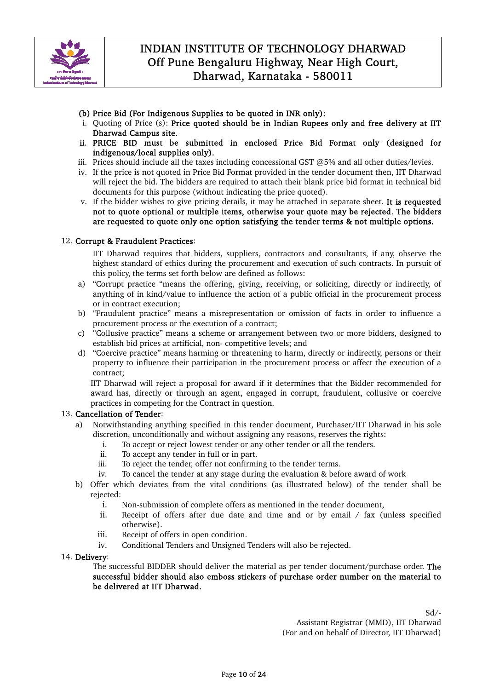

- (b) Price Bid (For Indigenous Supplies to be quoted in INR only):
- i. Quoting of Price (s): Price quoted should be in Indian Rupees only and free delivery at IIT Dharwad Campus site.
- ii. PRICE BID must be submitted in enclosed Price Bid Format only (designed for indigenous/local supplies only).
- iii. Prices should include all the taxes including concessional GST @5% and all other duties/levies.
- iv. If the price is not quoted in Price Bid Format provided in the tender document then, IIT Dharwad will reject the bid. The bidders are required to attach their blank price bid format in technical bid documents for this purpose (without indicating the price quoted).
- v. If the bidder wishes to give pricing details, it may be attached in separate sheet. It is requested not to quote optional or multiple items, otherwise your quote may be rejected. The bidders are requested to quote only one option satisfying the tender terms & not multiple options.

#### 12. Corrupt & Fraudulent Practices:

IIT Dharwad requires that bidders, suppliers, contractors and consultants, if any, observe the highest standard of ethics during the procurement and execution of such contracts. In pursuit of this policy, the terms set forth below are defined as follows:

- a) "Corrupt practice "means the offering, giving, receiving, or soliciting, directly or indirectly, of anything of in kind/value to influence the action of a public official in the procurement process or in contract execution;
- b) "Fraudulent practice" means a misrepresentation or omission of facts in order to influence a procurement process or the execution of a contract;
- c) "Collusive practice" means a scheme or arrangement between two or more bidders, designed to establish bid prices at artificial, non- competitive levels; and
- d) "Coercive practice" means harming or threatening to harm, directly or indirectly, persons or their property to influence their participation in the procurement process or affect the execution of a contract;

IIT Dharwad will reject a proposal for award if it determines that the Bidder recommended for award has, directly or through an agent, engaged in corrupt, fraudulent, collusive or coercive practices in competing for the Contract in question.

#### 13. Cancellation of Tender:

- a) Notwithstanding anything specified in this tender document, Purchaser/IIT Dharwad in his sole discretion, unconditionally and without assigning any reasons, reserves the rights:
	- i. To accept or reject lowest tender or any other tender or all the tenders.
	- ii. To accept any tender in full or in part.
	- iii. To reject the tender, offer not confirming to the tender terms.
	- iv. To cancel the tender at any stage during the evaluation & before award of work
- b) Offer which deviates from the vital conditions (as illustrated below) of the tender shall be rejected:
	- i. Non-submission of complete offers as mentioned in the tender document,
	- ii. Receipt of offers after due date and time and or by email / fax (unless specified otherwise).
	- iii. Receipt of offers in open condition.
	- iv. Conditional Tenders and Unsigned Tenders will also be rejected.

#### 14. Delivery:

The successful BIDDER should deliver the material as per tender document/purchase order. The successful bidder should also emboss stickers of purchase order number on the material to be delivered at IIT Dharwad.

> Sd/- Assistant Registrar (MMD), IIT Dharwad (For and on behalf of Director, IIT Dharwad)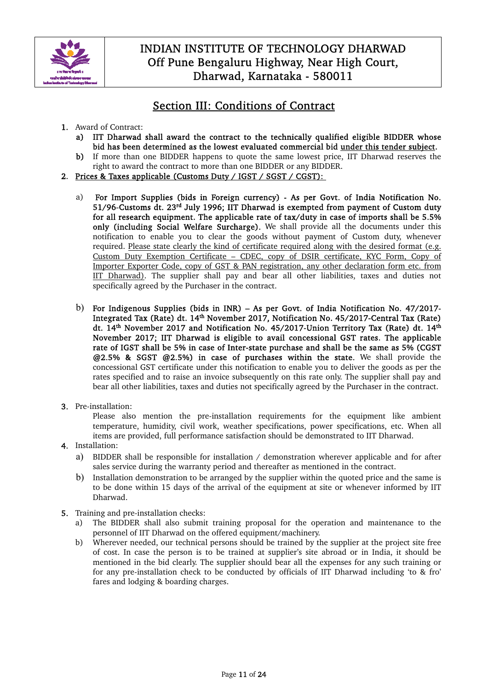

# Section III: Conditions of Contract

- 1. Award of Contract:
	- a) IIT Dharwad shall award the contract to the technically qualified eligible BIDDER whose bid has been determined as the lowest evaluated commercial bid under this tender subject.
	- b) If more than one BIDDER happens to quote the same lowest price, IIT Dharwad reserves the right to award the contract to more than one BIDDER or any BIDDER.
- 2. Prices & Taxes applicable (Customs Duty / IGST / SGST / CGST):
	- a) For Import Supplies (bids in Foreign currency) As per Govt. of India Notification No. 51/96-Customs dt. 23<sup>rd</sup> July 1996; IIT Dharwad is exempted from payment of Custom duty for all research equipment. The applicable rate of tax/duty in case of imports shall be 5.5% only (including Social Welfare Surcharge). We shall provide all the documents under this notification to enable you to clear the goods without payment of Custom duty, whenever required. Please state clearly the kind of certificate required along with the desired format (e.g. Custom Duty Exemption Certificate – CDEC, copy of DSIR certificate, KYC Form, Copy of Importer Exporter Code, copy of GST & PAN registration, any other declaration form etc. from IIT Dharwad). The supplier shall pay and bear all other liabilities, taxes and duties not specifically agreed by the Purchaser in the contract.
	- b) For Indigenous Supplies (bids in INR) As per Govt. of India Notification No. 47/2017- Integrated Tax (Rate) dt. 14<sup>th</sup> November 2017, Notification No. 45/2017-Central Tax (Rate) dt. 14<sup>th</sup> November 2017 and Notification No. 45/2017-Union Territory Tax (Rate) dt. 14<sup>th</sup> November 2017; IIT Dharwad is eligible to avail concessional GST rates. The applicable rate of IGST shall be 5% in case of Inter-state purchase and shall be the same as 5% (CGST @2.5% & SGST @2.5%) in case of purchases within the state. We shall provide the concessional GST certificate under this notification to enable you to deliver the goods as per the rates specified and to raise an invoice subsequently on this rate only. The supplier shall pay and bear all other liabilities, taxes and duties not specifically agreed by the Purchaser in the contract.
- 3. Pre-installation:

Please also mention the pre-installation requirements for the equipment like ambient temperature, humidity, civil work, weather specifications, power specifications, etc. When all items are provided, full performance satisfaction should be demonstrated to IIT Dharwad.

- 4. Installation:
	- a) BIDDER shall be responsible for installation / demonstration wherever applicable and for after sales service during the warranty period and thereafter as mentioned in the contract.
	- b) Installation demonstration to be arranged by the supplier within the quoted price and the same is to be done within 15 days of the arrival of the equipment at site or whenever informed by IIT Dharwad.
- 5. Training and pre-installation checks:
	- a) The BIDDER shall also submit training proposal for the operation and maintenance to the personnel of IIT Dharwad on the offered equipment/machinery.
	- b) Wherever needed, our technical persons should be trained by the supplier at the project site free of cost. In case the person is to be trained at supplier's site abroad or in India, it should be mentioned in the bid clearly. The supplier should bear all the expenses for any such training or for any pre-installation check to be conducted by officials of IIT Dharwad including 'to & fro' fares and lodging & boarding charges.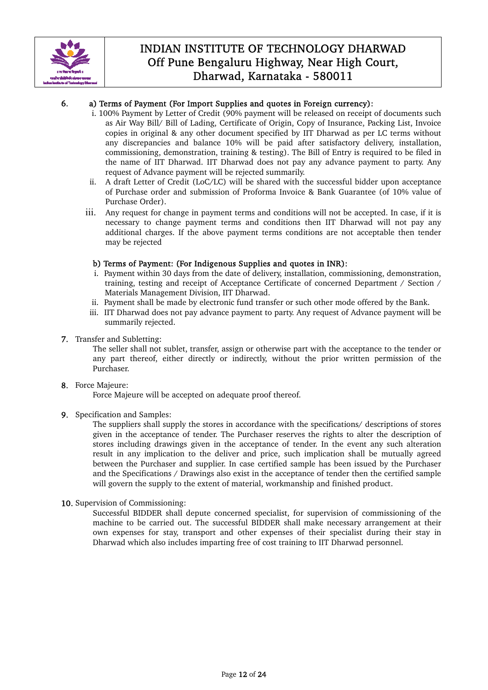

#### 6. a) Terms of Payment (For Import Supplies and quotes in Foreign currency):

- i. 100% Payment by Letter of Credit (90% payment will be released on receipt of documents such as Air Way Bill/ Bill of Lading, Certificate of Origin, Copy of Insurance, Packing List, Invoice copies in original & any other document specified by IIT Dharwad as per LC terms without any discrepancies and balance 10% will be paid after satisfactory delivery, installation, commissioning, demonstration, training & testing). The Bill of Entry is required to be filed in the name of IIT Dharwad. IIT Dharwad does not pay any advance payment to party. Any request of Advance payment will be rejected summarily.
- ii. A draft Letter of Credit (LoC/LC) will be shared with the successful bidder upon acceptance of Purchase order and submission of Proforma Invoice & Bank Guarantee (of 10% value of Purchase Order).
- iii. Any request for change in payment terms and conditions will not be accepted. In case, if it is necessary to change payment terms and conditions then IIT Dharwad will not pay any additional charges. If the above payment terms conditions are not acceptable then tender may be rejected

#### b) Terms of Payment: (For Indigenous Supplies and quotes in INR):

- i. Payment within 30 days from the date of delivery, installation, commissioning, demonstration, training, testing and receipt of Acceptance Certificate of concerned Department / Section / Materials Management Division, IIT Dharwad.
- ii. Payment shall be made by electronic fund transfer or such other mode offered by the Bank.
- iii. IIT Dharwad does not pay advance payment to party. Any request of Advance payment will be summarily rejected.
- 7. Transfer and Subletting:

The seller shall not sublet, transfer, assign or otherwise part with the acceptance to the tender or any part thereof, either directly or indirectly, without the prior written permission of the Purchaser.

8. Force Majeure:

Force Majeure will be accepted on adequate proof thereof.

9. Specification and Samples:

The suppliers shall supply the stores in accordance with the specifications/ descriptions of stores given in the acceptance of tender. The Purchaser reserves the rights to alter the description of stores including drawings given in the acceptance of tender. In the event any such alteration result in any implication to the deliver and price, such implication shall be mutually agreed between the Purchaser and supplier. In case certified sample has been issued by the Purchaser and the Specifications / Drawings also exist in the acceptance of tender then the certified sample will govern the supply to the extent of material, workmanship and finished product.

10. Supervision of Commissioning:

Successful BIDDER shall depute concerned specialist, for supervision of commissioning of the machine to be carried out. The successful BIDDER shall make necessary arrangement at their own expenses for stay, transport and other expenses of their specialist during their stay in Dharwad which also includes imparting free of cost training to IIT Dharwad personnel.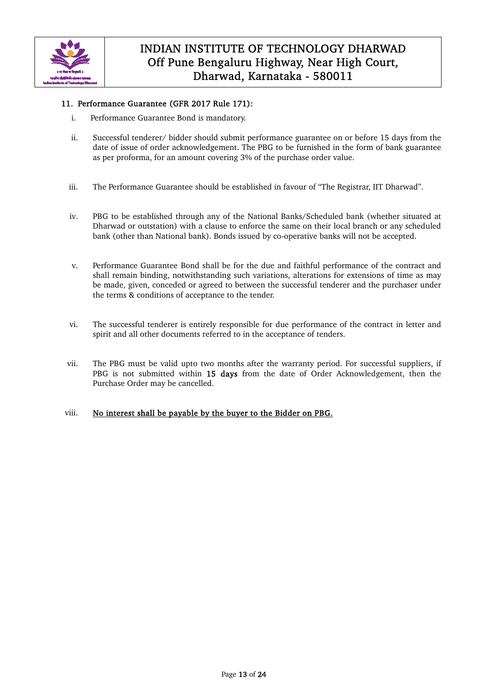

#### 11. Performance Guarantee (GFR 2017 Rule 171):

- i. Performance Guarantee Bond is mandatory.
- ii. Successful tenderer/ bidder should submit performance guarantee on or before 15 days from the date of issue of order acknowledgement. The PBG to be furnished in the form of bank guarantee as per proforma, for an amount covering 3% of the purchase order value.
- iii. The Performance Guarantee should be established in favour of "The Registrar, IIT Dharwad".
- iv. PBG to be established through any of the National Banks/Scheduled bank (whether situated at Dharwad or outstation) with a clause to enforce the same on their local branch or any scheduled bank (other than National bank). Bonds issued by co-operative banks will not be accepted.
- v. Performance Guarantee Bond shall be for the due and faithful performance of the contract and shall remain binding, notwithstanding such variations, alterations for extensions of time as may be made, given, conceded or agreed to between the successful tenderer and the purchaser under the terms & conditions of acceptance to the tender.
- vi. The successful tenderer is entirely responsible for due performance of the contract in letter and spirit and all other documents referred to in the acceptance of tenders.
- vii. The PBG must be valid upto two months after the warranty period. For successful suppliers, if PBG is not submitted within 15 days from the date of Order Acknowledgement, then the Purchase Order may be cancelled.

#### viii. No interest shall be payable by the buyer to the Bidder on PBG.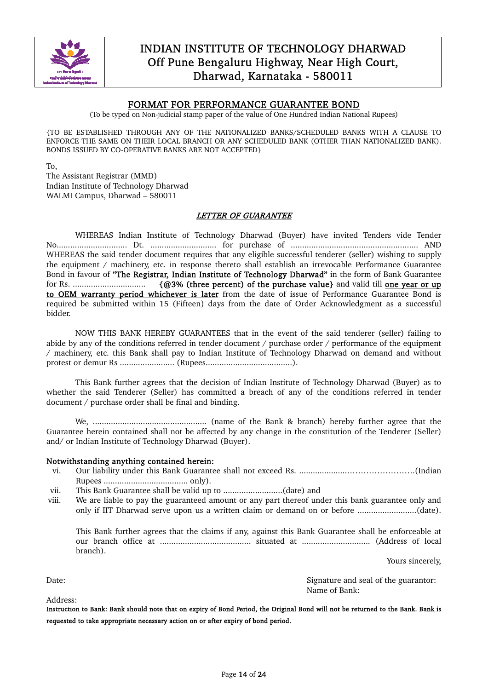

#### FORMAT FOR PERFORMANCE GUARANTEE BOND

(To be typed on Non-judicial stamp paper of the value of One Hundred Indian National Rupees)

{TO BE ESTABLISHED THROUGH ANY OF THE NATIONALIZED BANKS/SCHEDULED BANKS WITH A CLAUSE TO ENFORCE THE SAME ON THEIR LOCAL BRANCH OR ANY SCHEDULED BANK (OTHER THAN NATIONALIZED BANK). BONDS ISSUED BY CO-OPERATIVE BANKS ARE NOT ACCEPTED}

To, The Assistant Registrar (MMD) Indian Institute of Technology Dharwad WALMI Campus, Dharwad – 580011

#### LETTER OF GUARANTEE

 WHEREAS Indian Institute of Technology Dharwad (Buyer) have invited Tenders vide Tender No............................... Dt. ............................. for purchase of ........................................................ AND WHEREAS the said tender document requires that any eligible successful tenderer (seller) wishing to supply the equipment / machinery, etc. in response thereto shall establish an irrevocable Performance Guarantee Bond in favour of "The Registrar, Indian Institute of Technology Dharwad" in the form of Bank Guarantee for Rs. ................................ {@3% (three percent) of the purchase value} and valid till one year or up to OEM warranty period whichever is later from the date of issue of Performance Guarantee Bond is required be submitted within 15 (Fifteen) days from the date of Order Acknowledgment as a successful bidder.

 NOW THIS BANK HEREBY GUARANTEES that in the event of the said tenderer (seller) failing to abide by any of the conditions referred in tender document / purchase order / performance of the equipment / machinery, etc. this Bank shall pay to Indian Institute of Technology Dharwad on demand and without protest or demur Rs ........................ (Rupees......................................).

 This Bank further agrees that the decision of Indian Institute of Technology Dharwad (Buyer) as to whether the said Tenderer (Seller) has committed a breach of any of the conditions referred in tender document / purchase order shall be final and binding.

 We, .................................................. (name of the Bank & branch) hereby further agree that the Guarantee herein contained shall not be affected by any change in the constitution of the Tenderer (Seller) and/ or Indian Institute of Technology Dharwad (Buyer).

#### Notwithstanding anything contained herein:

- vi. Our liability under this Bank Guarantee shall not exceed Rs. .....................…………………….(Indian Rupees ..................................... only).
- vii. This Bank Guarantee shall be valid up to ..........................(date) and
- viii. We are liable to pay the guaranteed amount or any part thereof under this bank guarantee only and only if IIT Dharwad serve upon us a written claim or demand on or before ..........................(date).

This Bank further agrees that the claims if any, against this Bank Guarantee shall be enforceable at our branch office at ........................................ situated at .............................. (Address of local branch).

Yours sincerely,

Address:

Date: Signature and seal of the guarantor: Name of Bank:

Instruction to Bank: Bank should note that on expiry of Bond Period, the Original Bond will not be returned to the Bank. Bank is requested to take appropriate necessary action on or after expiry of bond period.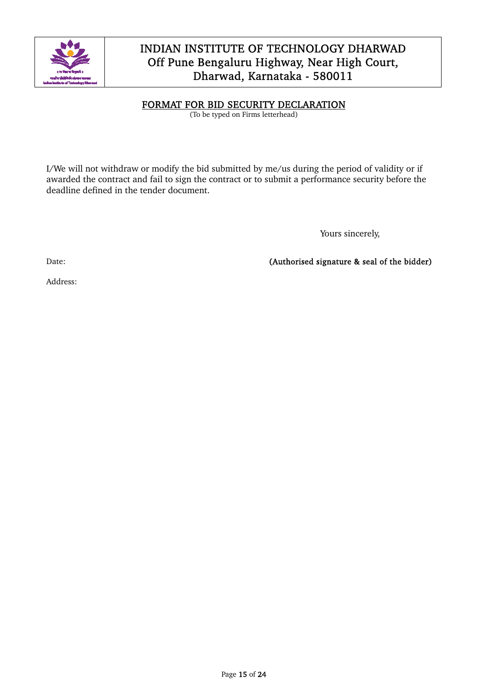

#### FORMAT FOR BID SECURITY DECLARATION

(To be typed on Firms letterhead)

I/We will not withdraw or modify the bid submitted by me/us during the period of validity or if awarded the contract and fail to sign the contract or to submit a performance security before the deadline defined in the tender document.

Yours sincerely,

Date: Channels Contract Contract Contract Contract Contract Contract Contract Contract Contract Contract Contract Contract Contract Contract Contract Contract Contract Contract Contract Contract Contract Contract Contract

Address: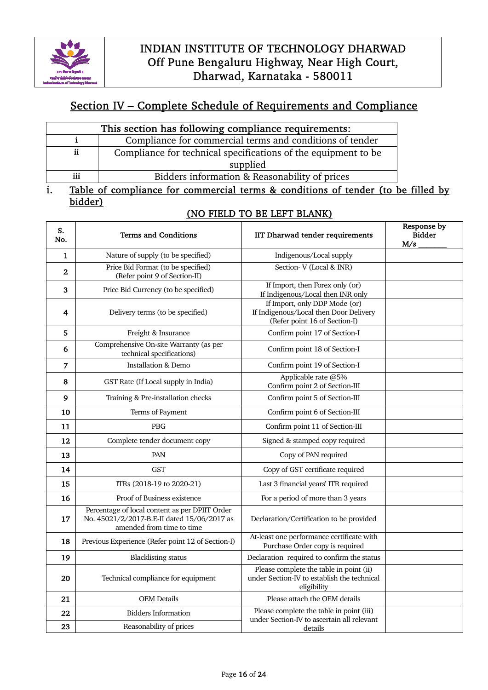

# Section IV – Complete Schedule of Requirements and Compliance

| This section has following compliance requirements: |                                                                |  |  |  |
|-----------------------------------------------------|----------------------------------------------------------------|--|--|--|
|                                                     | Compliance for commercial terms and conditions of tender       |  |  |  |
| ij                                                  | Compliance for technical specifications of the equipment to be |  |  |  |
|                                                     | supplied                                                       |  |  |  |
| iii                                                 | Bidders information & Reasonability of prices                  |  |  |  |

### i. Table of compliance for commercial terms & conditions of tender (to be filled by bidder)

### (NO FIELD TO BE LEFT BLANK)

| S.<br>No.      | <b>Terms and Conditions</b>                                                                                                | IIT Dharwad tender requirements                                                                          | Response by<br><b>Bidder</b><br>M/s |
|----------------|----------------------------------------------------------------------------------------------------------------------------|----------------------------------------------------------------------------------------------------------|-------------------------------------|
| 1              | Nature of supply (to be specified)                                                                                         | Indigenous/Local supply                                                                                  |                                     |
| $\overline{2}$ | Price Bid Format (to be specified)<br>(Refer point 9 of Section-II)                                                        | Section-V (Local & INR)                                                                                  |                                     |
| 3              | Price Bid Currency (to be specified)                                                                                       | If Import, then Forex only (or)<br>If Indigenous/Local then INR only                                     |                                     |
| 4              | Delivery terms (to be specified)                                                                                           | If Import, only DDP Mode (or)<br>If Indigenous/Local then Door Delivery<br>(Refer point 16 of Section-I) |                                     |
| 5              | Freight & Insurance                                                                                                        | Confirm point 17 of Section-I                                                                            |                                     |
| 6              | Comprehensive On-site Warranty (as per<br>technical specifications)                                                        | Confirm point 18 of Section-I                                                                            |                                     |
| 7              | <b>Installation &amp; Demo</b>                                                                                             | Confirm point 19 of Section-I                                                                            |                                     |
| 8              | GST Rate (If Local supply in India)                                                                                        | Applicable rate @5%<br>Confirm point 2 of Section-III                                                    |                                     |
| 9              | Training & Pre-installation checks                                                                                         | Confirm point 5 of Section-III                                                                           |                                     |
| 10             | Terms of Payment                                                                                                           | Confirm point 6 of Section-III                                                                           |                                     |
| 11             | <b>PBG</b>                                                                                                                 | Confirm point 11 of Section-III                                                                          |                                     |
| 12             | Complete tender document copy                                                                                              | Signed & stamped copy required                                                                           |                                     |
| 13             | PAN                                                                                                                        | Copy of PAN required                                                                                     |                                     |
| 14             | <b>GST</b>                                                                                                                 | Copy of GST certificate required                                                                         |                                     |
| 15             | ITRs (2018-19 to 2020-21)                                                                                                  | Last 3 financial years' ITR required                                                                     |                                     |
| 16             | Proof of Business existence                                                                                                | For a period of more than 3 years                                                                        |                                     |
| 17             | Percentage of local content as per DPIIT Order<br>No. 45021/2/2017-B.E-II dated 15/06/2017 as<br>amended from time to time | Declaration/Certification to be provided                                                                 |                                     |
| 18             | Previous Experience (Refer point 12 of Section-I)                                                                          | At-least one performance certificate with<br>Purchase Order copy is required                             |                                     |
| 19             | <b>Blacklisting status</b>                                                                                                 | Declaration required to confirm the status                                                               |                                     |
| 20             | Technical compliance for equipment                                                                                         | Please complete the table in point (ii)<br>under Section-IV to establish the technical<br>eligibility    |                                     |
| 21             | <b>OEM</b> Details                                                                                                         | Please attach the OEM details                                                                            |                                     |
| 22             | <b>Bidders Information</b>                                                                                                 | Please complete the table in point (iii)<br>under Section-IV to ascertain all relevant                   |                                     |
| 23             | Reasonability of prices                                                                                                    | details                                                                                                  |                                     |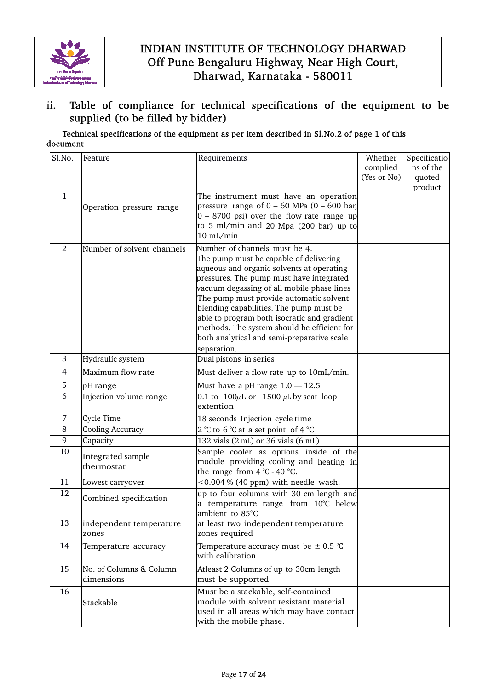

### ii. Table of compliance for technical specifications of the equipment to be supplied (to be filled by bidder)

#### Technical specifications of the equipment as per item described in Sl.No.2 of page 1 of this document

| Sl.No.         | Feature                    | Requirements                                                                          | Whether     | Specificatio |
|----------------|----------------------------|---------------------------------------------------------------------------------------|-------------|--------------|
|                |                            |                                                                                       | complied    | ns of the    |
|                |                            |                                                                                       | (Yes or No) | quoted       |
|                |                            |                                                                                       |             | product      |
| $\mathbf{1}$   |                            | The instrument must have an operation                                                 |             |              |
|                | Operation pressure range   | pressure range of $0 - 60$ MPa $(0 - 600$ bar,                                        |             |              |
|                |                            | $0 - 8700$ psi) over the flow rate range up                                           |             |              |
|                |                            | to 5 ml/min and 20 Mpa (200 bar) up to                                                |             |              |
|                |                            | $10$ mL/min                                                                           |             |              |
| 2              | Number of solvent channels | Number of channels must be 4.                                                         |             |              |
|                |                            | The pump must be capable of delivering                                                |             |              |
|                |                            | aqueous and organic solvents at operating                                             |             |              |
|                |                            | pressures. The pump must have integrated                                              |             |              |
|                |                            | vacuum degassing of all mobile phase lines<br>The pump must provide automatic solvent |             |              |
|                |                            | blending capabilities. The pump must be                                               |             |              |
|                |                            | able to program both isocratic and gradient                                           |             |              |
|                |                            | methods. The system should be efficient for                                           |             |              |
|                |                            | both analytical and semi-preparative scale                                            |             |              |
|                |                            | separation.                                                                           |             |              |
| 3              | Hydraulic system           | Dual pistons in series                                                                |             |              |
| $\overline{4}$ | Maximum flow rate          | Must deliver a flow rate up to 10mL/min.                                              |             |              |
| 5              | pH range                   | Must have a pH range $1.0 - 12.5$                                                     |             |              |
| 6              | Injection volume range     | 0.1 to 100 $\mu$ L or 1500 $\mu$ L by seat loop                                       |             |              |
|                |                            | extention                                                                             |             |              |
| 7              | Cycle Time                 | 18 seconds Injection cycle time                                                       |             |              |
| 8              | Cooling Accuracy           | 2 °C to 6 °C at a set point of 4 °C                                                   |             |              |
| 9              | Capacity                   | 132 vials (2 mL) or 36 vials (6 mL)                                                   |             |              |
| 10             | Integrated sample          | Sample cooler as options inside of the                                                |             |              |
|                | thermostat                 | module providing cooling and heating in                                               |             |              |
|                |                            | the range from $4^{\circ}$ C - $40^{\circ}$ C.                                        |             |              |
| 11             | Lowest carryover           | <0.004 % (40 ppm) with needle wash.                                                   |             |              |
| 12             | Combined specification     | up to four columns with 30 cm length and                                              |             |              |
|                |                            | a temperature range from 10°C below                                                   |             |              |
| 13             | independent temperature    | ambient to 85°C<br>at least two independent temperature                               |             |              |
|                | zones                      | zones required                                                                        |             |              |
|                |                            |                                                                                       |             |              |
| 14             | Temperature accuracy       | Temperature accuracy must be $\pm$ 0.5 °C<br>with calibration                         |             |              |
|                |                            |                                                                                       |             |              |
| 15             | No. of Columns & Column    | Atleast 2 Columns of up to 30cm length                                                |             |              |
|                | dimensions                 | must be supported                                                                     |             |              |
| 16             |                            | Must be a stackable, self-contained                                                   |             |              |
|                | Stackable                  | module with solvent resistant material                                                |             |              |
|                |                            | used in all areas which may have contact                                              |             |              |
|                |                            | with the mobile phase.                                                                |             |              |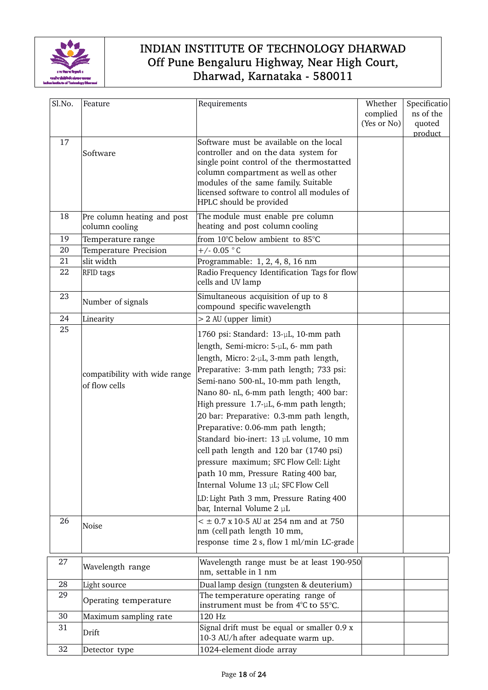

| Sl.No.   | Feature                                                 | Requirements                                                                                                                                                                                                                                                                                                                                                                                                                                                                                                                                                                                                                                                                                                               | Whether<br>complied<br>(Yes or No) | Specificatio<br>ns of the<br>quoted<br>product |
|----------|---------------------------------------------------------|----------------------------------------------------------------------------------------------------------------------------------------------------------------------------------------------------------------------------------------------------------------------------------------------------------------------------------------------------------------------------------------------------------------------------------------------------------------------------------------------------------------------------------------------------------------------------------------------------------------------------------------------------------------------------------------------------------------------------|------------------------------------|------------------------------------------------|
| 17       | Software                                                | Software must be available on the local<br>controller and on the data system for<br>single point control of the thermostatted<br>column compartment as well as other<br>modules of the same family. Suitable<br>licensed software to control all modules of<br>HPLC should be provided                                                                                                                                                                                                                                                                                                                                                                                                                                     |                                    |                                                |
| 18       | Pre column heating and post<br>column cooling           | The module must enable pre column<br>heating and post column cooling                                                                                                                                                                                                                                                                                                                                                                                                                                                                                                                                                                                                                                                       |                                    |                                                |
| 19       | Temperature range                                       | from 10°C below ambient to 85°C                                                                                                                                                                                                                                                                                                                                                                                                                                                                                                                                                                                                                                                                                            |                                    |                                                |
| 20       | Temperature Precision                                   | $+/- 0.05 °C$                                                                                                                                                                                                                                                                                                                                                                                                                                                                                                                                                                                                                                                                                                              |                                    |                                                |
| 21       | slit width                                              | Programmable: 1, 2, 4, 8, 16 nm                                                                                                                                                                                                                                                                                                                                                                                                                                                                                                                                                                                                                                                                                            |                                    |                                                |
| 22       | RFID tags                                               | Radio Frequency Identification Tags for flow<br>cells and UV lamp                                                                                                                                                                                                                                                                                                                                                                                                                                                                                                                                                                                                                                                          |                                    |                                                |
| 23       | Number of signals                                       | Simultaneous acquisition of up to 8<br>compound specific wavelength                                                                                                                                                                                                                                                                                                                                                                                                                                                                                                                                                                                                                                                        |                                    |                                                |
| 24       | Linearity                                               | > 2 AU (upper limit)                                                                                                                                                                                                                                                                                                                                                                                                                                                                                                                                                                                                                                                                                                       |                                    |                                                |
| 25<br>26 | compatibility with wide range<br>of flow cells<br>Noise | 1760 psi: Standard: 13-µL, 10-mm path<br>length, Semi-micro: 5-µL, 6- mm path<br>length, Micro: 2-µL, 3-mm path length,<br>Preparative: 3-mm path length; 733 psi:<br>Semi-nano 500-nL, 10-mm path length,<br>Nano 80- nL, 6-mm path length; 400 bar:<br>High pressure 1.7-µL, 6-mm path length;<br>20 bar: Preparative: 0.3-mm path length,<br>Preparative: 0.06-mm path length;<br>Standard bio-inert: 13 µL volume, 10 mm<br>cell path length and 120 bar (1740 psi)<br>pressure maximum; SFC Flow Cell: Light<br>path 10 mm, Pressure Rating 400 bar,<br>Internal Volume 13 µL; SFC Flow Cell<br>LD: Light Path 3 mm, Pressure Rating 400<br>bar, Internal Volume 2 µL<br>$<$ $\pm$ 0.7 x 10-5 AU at 254 nm and at 750 |                                    |                                                |
|          |                                                         | nm (cell path length 10 mm,<br>response time 2 s, flow 1 ml/min LC-grade                                                                                                                                                                                                                                                                                                                                                                                                                                                                                                                                                                                                                                                   |                                    |                                                |
| 27       | Wavelength range                                        | Wavelength range must be at least 190-950<br>nm, settable in 1 nm                                                                                                                                                                                                                                                                                                                                                                                                                                                                                                                                                                                                                                                          |                                    |                                                |
| 28       | Light source                                            | Duallamp design (tungsten & deuterium)                                                                                                                                                                                                                                                                                                                                                                                                                                                                                                                                                                                                                                                                                     |                                    |                                                |
| 29       | Operating temperature                                   | The temperature operating range of<br>instrument must be from 4°C to 55°C.                                                                                                                                                                                                                                                                                                                                                                                                                                                                                                                                                                                                                                                 |                                    |                                                |
| 30       | Maximum sampling rate                                   | 120 Hz                                                                                                                                                                                                                                                                                                                                                                                                                                                                                                                                                                                                                                                                                                                     |                                    |                                                |
| 31       | Drift                                                   | Signal drift must be equal or smaller 0.9 x<br>10-3 AU/h after adequate warm up.                                                                                                                                                                                                                                                                                                                                                                                                                                                                                                                                                                                                                                           |                                    |                                                |
| 32       | Detector type                                           | 1024-element diode array                                                                                                                                                                                                                                                                                                                                                                                                                                                                                                                                                                                                                                                                                                   |                                    |                                                |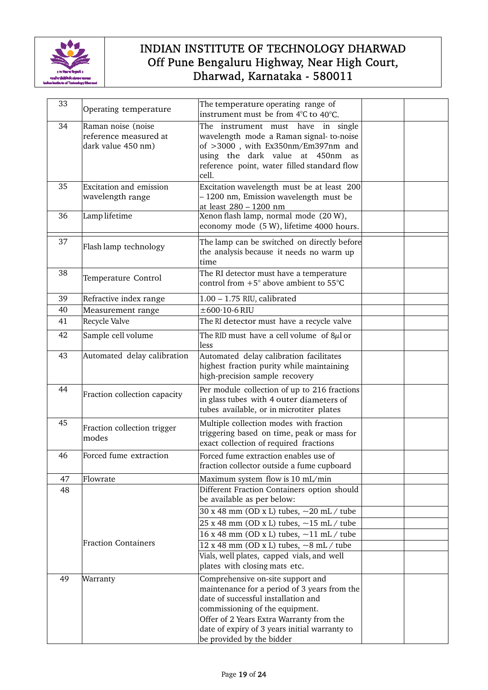

| 33 | Operating temperature                                             | The temperature operating range of<br>instrument must be from 4°C to 40°C.                                                                                                                                                                                                            |  |  |
|----|-------------------------------------------------------------------|---------------------------------------------------------------------------------------------------------------------------------------------------------------------------------------------------------------------------------------------------------------------------------------|--|--|
| 34 | Raman noise (noise<br>reference measured at<br>dark value 450 nm) | The instrument must have in single<br>wavelength mode a Raman signal-to-noise<br>of >3000, with Ex350nm/Em397nm and<br>using the dark value at 450nm<br>as<br>reference point, water filled standard flow<br>cell.                                                                    |  |  |
| 35 | Excitation and emission<br>wavelength range                       | Excitation wavelength must be at least 200<br>- 1200 nm, Emission wavelength must be<br>at least 280 - 1200 nm                                                                                                                                                                        |  |  |
| 36 | Lamp lifetime                                                     | Xenon flash lamp, normal mode (20 W),<br>economy mode (5 W), lifetime 4000 hours.                                                                                                                                                                                                     |  |  |
| 37 | Flash lamp technology                                             | The lamp can be switched on directly before<br>the analysis because it needs no warm up<br>time                                                                                                                                                                                       |  |  |
| 38 | Temperature Control                                               | The RI detector must have a temperature<br>control from $+5^{\circ}$ above ambient to $55^{\circ}$ C                                                                                                                                                                                  |  |  |
| 39 | Refractive index range                                            | $1.00 - 1.75$ RIU, calibrated                                                                                                                                                                                                                                                         |  |  |
| 40 | Measurement range                                                 | $\pm 600 \cdot 10$ -6 RIU                                                                                                                                                                                                                                                             |  |  |
| 41 | Recycle Valve                                                     | The RI detector must have a recycle valve                                                                                                                                                                                                                                             |  |  |
| 42 | Sample cell volume                                                | The RID must have a cell volume of $8\mu$ l or<br>less                                                                                                                                                                                                                                |  |  |
| 43 | Automated delay calibration                                       | Automated delay calibration facilitates<br>highest fraction purity while maintaining<br>high-precision sample recovery                                                                                                                                                                |  |  |
| 44 | Fraction collection capacity                                      | Per module collection of up to 216 fractions<br>in glass tubes with 4 outer diameters of<br>tubes available, or in microtiter plates                                                                                                                                                  |  |  |
| 45 | Fraction collection trigger<br>modes                              | Multiple collection modes with fraction<br>triggering based on time, peak or mass for<br>exact collection of required fractions                                                                                                                                                       |  |  |
| 46 | Forced fume extraction                                            | Forced fume extraction enables use of<br>fraction collector outside a fume cupboard                                                                                                                                                                                                   |  |  |
| 47 | Flowrate                                                          | Maximum system flow is 10 mL/min                                                                                                                                                                                                                                                      |  |  |
| 48 |                                                                   | Different Fraction Containers option should<br>be available as per below:                                                                                                                                                                                                             |  |  |
|    |                                                                   | 30 x 48 mm (OD x L) tubes, ~20 mL / tube                                                                                                                                                                                                                                              |  |  |
|    |                                                                   | 25 x 48 mm (OD x L) tubes, $\sim$ 15 mL / tube                                                                                                                                                                                                                                        |  |  |
|    | <b>Fraction Containers</b>                                        | 16 x 48 mm (OD x L) tubes, $\sim$ 11 mL / tube                                                                                                                                                                                                                                        |  |  |
|    |                                                                   | 12 x 48 mm (OD x L) tubes, $\sim$ 8 mL / tube<br>Vials, well plates, capped vials, and well                                                                                                                                                                                           |  |  |
|    |                                                                   | plates with closing mats etc.                                                                                                                                                                                                                                                         |  |  |
| 49 | Warranty                                                          | Comprehensive on-site support and<br>maintenance for a period of 3 years from the<br>date of successful installation and<br>commissioning of the equipment.<br>Offer of 2 Years Extra Warranty from the<br>date of expiry of 3 years initial warranty to<br>be provided by the bidder |  |  |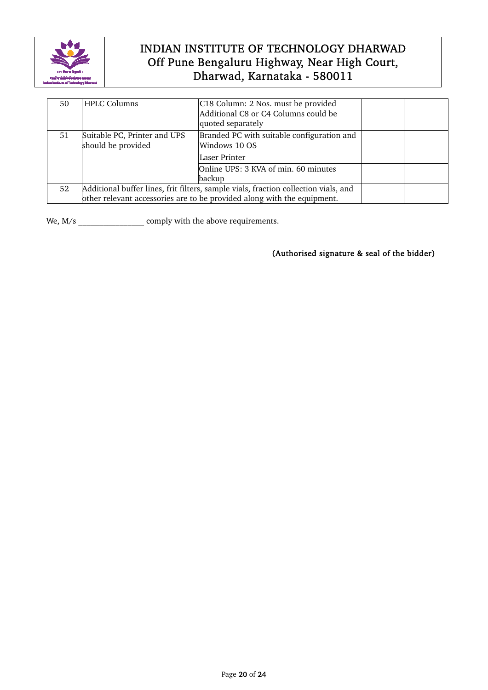

| 50 | <b>HPLC Columns</b>                                                                                                                                            | C18 Column: 2 Nos. must be provided<br>Additional C8 or C4 Columns could be<br>quoted separately |  |  |
|----|----------------------------------------------------------------------------------------------------------------------------------------------------------------|--------------------------------------------------------------------------------------------------|--|--|
| 51 | Suitable PC, Printer and UPS<br>should be provided                                                                                                             | Branded PC with suitable configuration and<br>Windows 10 OS                                      |  |  |
|    |                                                                                                                                                                | Laser Printer                                                                                    |  |  |
|    |                                                                                                                                                                | Online UPS: 3 KVA of min. 60 minutes<br>backup                                                   |  |  |
| 52 | Additional buffer lines, frit filters, sample vials, fraction collection vials, and<br>other relevant accessories are to be provided along with the equipment. |                                                                                                  |  |  |

We, M/s \_\_\_\_\_\_\_\_\_\_\_\_\_\_\_\_\_\_\_\_\_ comply with the above requirements.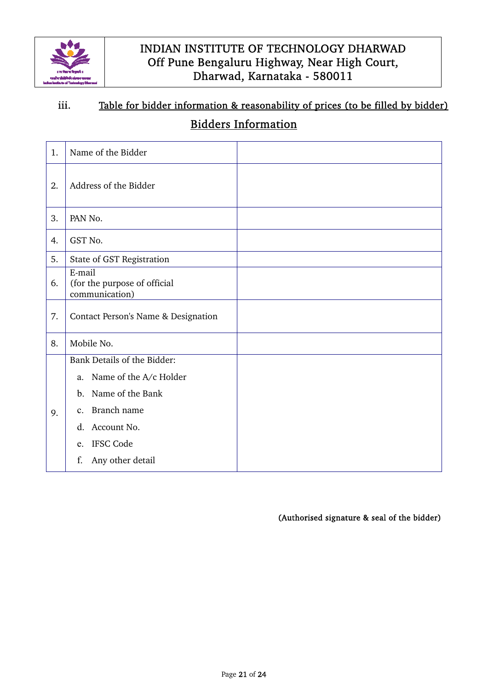

# iii. Table for bidder information & reasonability of prices (to be filled by bidder)

# Bidders Information

| 1. | Name of the Bidder                                       |  |
|----|----------------------------------------------------------|--|
| 2. | Address of the Bidder                                    |  |
| 3. | PAN No.                                                  |  |
| 4. | GST No.                                                  |  |
| 5. | State of GST Registration                                |  |
| 6. | E-mail<br>(for the purpose of official<br>communication) |  |
| 7. | Contact Person's Name & Designation                      |  |
| 8. | Mobile No.                                               |  |
|    | Bank Details of the Bidder:                              |  |
|    | Name of the A/c Holder<br>a.                             |  |
|    | Name of the Bank<br>$\mathbf{b}$ .                       |  |
| 9. | Branch name<br>$\mathbf{c}$ .                            |  |
|    | Account No.<br>$\mathbf{d}$ .                            |  |
|    | IFSC Code<br>e.                                          |  |
|    | f.<br>Any other detail                                   |  |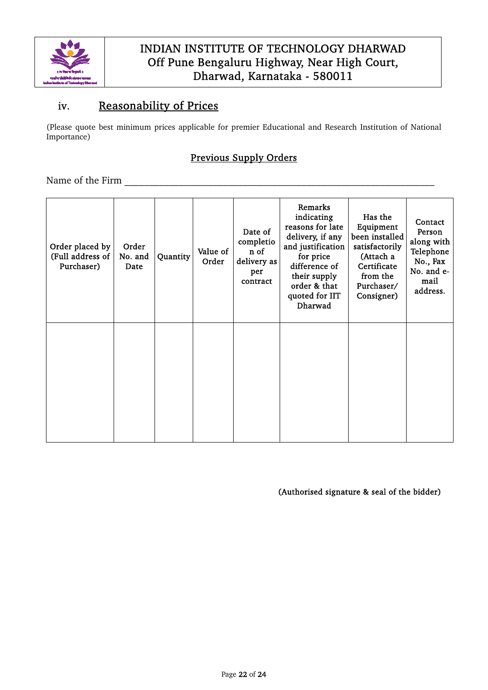

# iv. Reasonability of Prices

(Please quote best minimum prices applicable for premier Educational and Research Institution of National Importance)

### Previous Supply Orders

Name of the Firm  $\Box$ 

| Order placed by<br>(Full address of<br>Purchaser) | Order<br>No. and<br>Date | Quantity | Value of<br>Order | Date of<br>completio<br>n of<br>delivery as<br>per<br>contract | Remarks<br>indicating<br>reasons for late<br>delivery, if any<br>and justification<br>for price<br>difference of<br>their supply<br>order & that<br>quoted for IIT<br>Dharwad | Has the<br>Equipment<br>been installed<br>satisfactorily<br>(Attach a<br>Certificate<br>from the<br>Purchaser/<br>Consigner) | Contact<br>Person<br>along with<br>Telephone<br>No., Fax<br>No. and e-<br>mail<br>address. |
|---------------------------------------------------|--------------------------|----------|-------------------|----------------------------------------------------------------|-------------------------------------------------------------------------------------------------------------------------------------------------------------------------------|------------------------------------------------------------------------------------------------------------------------------|--------------------------------------------------------------------------------------------|
|                                                   |                          |          |                   |                                                                |                                                                                                                                                                               |                                                                                                                              |                                                                                            |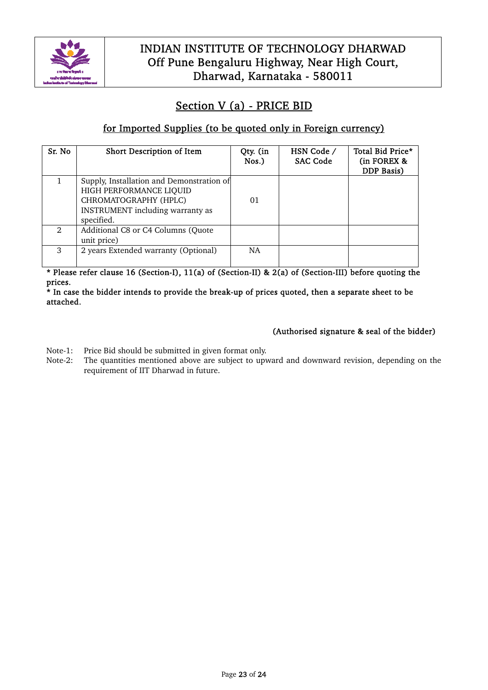

# Section V (a) - PRICE BID

### for Imported Supplies (to be quoted only in Foreign currency)

| Sr. No         | Short Description of Item                                                                                                                       | Qty. (in<br>Nos.) | HSN Code /<br><b>SAC Code</b> | Total Bid Price*<br>(in FOREX &<br><b>DDP</b> Basis) |
|----------------|-------------------------------------------------------------------------------------------------------------------------------------------------|-------------------|-------------------------------|------------------------------------------------------|
|                | Supply, Installation and Demonstration of<br>HIGH PERFORMANCE LIQUID<br>CHROMATOGRAPHY (HPLC)<br>INSTRUMENT including warranty as<br>specified. | 01                |                               |                                                      |
| $\mathfrak{D}$ | Additional C8 or C4 Columns (Quote<br>unit price)                                                                                               |                   |                               |                                                      |
| 3              | 2 years Extended warranty (Optional)                                                                                                            | <b>NA</b>         |                               |                                                      |

\* Please refer clause 16 (Section-I), 11(a) of (Section-II) & 2(a) of (Section-III) before quoting the prices.

\* In case the bidder intends to provide the break-up of prices quoted, then a separate sheet to be attached.

- Note-1: Price Bid should be submitted in given format only.
- Note-2: The quantities mentioned above are subject to upward and downward revision, depending on the requirement of IIT Dharwad in future.